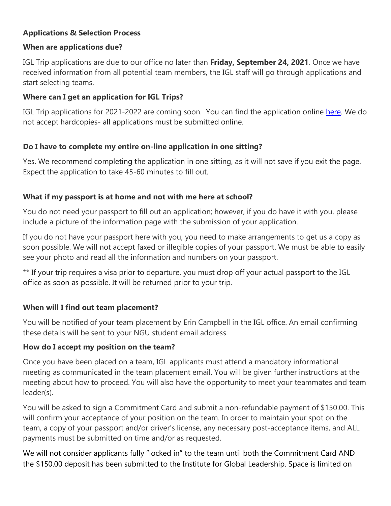## **Applications & Selection Process**

### **When are applications due?**

IGL Trip applications are due to our office no later than **Friday, September 24, 2021**. Once we have received information from all potential team members, the IGL staff will go through applications and start selecting teams.

## **Where can I get an application for IGL Trips?**

IGL Trip applications for 2021-2022 are coming soon. You can find the application online [here.](https://northgreenvilleuniversity.formstack.com/forms/igl_team_application) We do not accept hardcopies- all applications must be submitted online.

## **Do I have to complete my entire on-line application in one sitting?**

Yes. We recommend completing the application in one sitting, as it will not save if you exit the page. Expect the application to take 45-60 minutes to fill out.

## **What if my passport is at home and not with me here at school?**

You do not need your passport to fill out an application; however, if you do have it with you, please include a picture of the information page with the submission of your application.

If you do not have your passport here with you, you need to make arrangements to get us a copy as soon possible. We will not accept faxed or illegible copies of your passport. We must be able to easily see your photo and read all the information and numbers on your passport.

\*\* If your trip requires a visa prior to departure, you must drop off your actual passport to the IGL office as soon as possible. It will be returned prior to your trip.

# **When will I find out team placement?**

You will be notified of your team placement by Erin Campbell in the IGL office. An email confirming these details will be sent to your NGU student email address.

## **How do I accept my position on the team?**

Once you have been placed on a team, IGL applicants must attend a mandatory informational meeting as communicated in the team placement email. You will be given further instructions at the meeting about how to proceed. You will also have the opportunity to meet your teammates and team leader(s).

You will be asked to sign a Commitment Card and submit a non-refundable payment of \$150.00. This will confirm your acceptance of your position on the team. In order to maintain your spot on the team, a copy of your passport and/or driver's license, any necessary post-acceptance items, and ALL payments must be submitted on time and/or as requested.

We will not consider applicants fully "locked in" to the team until both the Commitment Card AND the \$150.00 deposit has been submitted to the Institute for Global Leadership. Space is limited on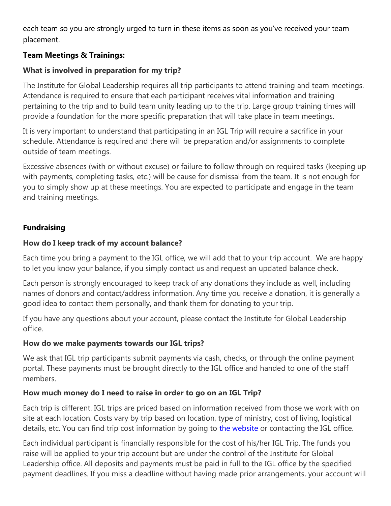each team so you are strongly urged to turn in these items as soon as you've received your team placement.

## **Team Meetings & Trainings:**

### **What is involved in preparation for my trip?**

The Institute for Global Leadership requires all trip participants to attend training and team meetings. Attendance is required to ensure that each participant receives vital information and training pertaining to the trip and to build team unity leading up to the trip. Large group training times will provide a foundation for the more specific preparation that will take place in team meetings.

It is very important to understand that participating in an IGL Trip will require a sacrifice in your schedule. Attendance is required and there will be preparation and/or assignments to complete outside of team meetings.

Excessive absences (with or without excuse) or failure to follow through on required tasks (keeping up with payments, completing tasks, etc.) will be cause for dismissal from the team. It is not enough for you to simply show up at these meetings. You are expected to participate and engage in the team and training meetings.

### **Fundraising**

### **How do I keep track of my account balance?**

Each time you bring a payment to the IGL office, we will add that to your trip account. We are happy to let you know your balance, if you simply contact us and request an updated balance check.

Each person is strongly encouraged to keep track of any donations they include as well, including names of donors and contact/address information. Any time you receive a donation, it is generally a good idea to contact them personally, and thank them for donating to your trip.

If you have any questions about your account, please contact the Institute for Global Leadership office.

### **How do we make payments towards our IGL trips?**

We ask that IGL trip participants submit payments via cash, checks, or through the online payment portal. These payments must be brought directly to the IGL office and handed to one of the staff members.

## **How much money do I need to raise in order to go on an IGL Trip?**

Each trip is different. IGL trips are priced based on information received from those we work with on site at each location. Costs vary by trip based on location, type of ministry, cost of living, logistical details, etc. You can find trip cost information by going to [the website](https://ngu.edu/academics/centers-institutes/institute-global-leadership/) or contacting the IGL office.

Each individual participant is financially responsible for the cost of his/her IGL Trip. The funds you raise will be applied to your trip account but are under the control of the Institute for Global Leadership office. All deposits and payments must be paid in full to the IGL office by the specified payment deadlines. If you miss a deadline without having made prior arrangements, your account will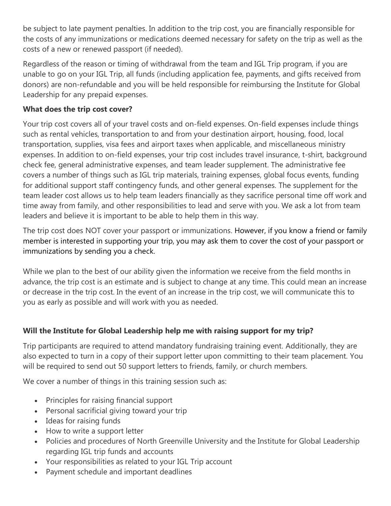be subject to late payment penalties. In addition to the trip cost, you are financially responsible for the costs of any immunizations or medications deemed necessary for safety on the trip as well as the costs of a new or renewed passport (if needed).

Regardless of the reason or timing of withdrawal from the team and IGL Trip program, if you are unable to go on your IGL Trip, all funds (including application fee, payments, and gifts received from donors) are non-refundable and you will be held responsible for reimbursing the Institute for Global Leadership for any prepaid expenses.

# **What does the trip cost cover?**

Your trip cost covers all of your travel costs and on-field expenses. On-field expenses include things such as rental vehicles, transportation to and from your destination airport, housing, food, local transportation, supplies, visa fees and airport taxes when applicable, and miscellaneous ministry expenses. In addition to on-field expenses, your trip cost includes travel insurance, t-shirt, background check fee, general administrative expenses, and team leader supplement. The administrative fee covers a number of things such as IGL trip materials, training expenses, global focus events, funding for additional support staff contingency funds, and other general expenses. The supplement for the team leader cost allows us to help team leaders financially as they sacrifice personal time off work and time away from family, and other responsibilities to lead and serve with you. We ask a lot from team leaders and believe it is important to be able to help them in this way.

The trip cost does NOT cover your passport or immunizations. However, if you know a friend or family member is interested in supporting your trip, you may ask them to cover the cost of your passport or immunizations by sending you a check.

While we plan to the best of our ability given the information we receive from the field months in advance, the trip cost is an estimate and is subject to change at any time. This could mean an increase or decrease in the trip cost. In the event of an increase in the trip cost, we will communicate this to you as early as possible and will work with you as needed.

# **Will the Institute for Global Leadership help me with raising support for my trip?**

Trip participants are required to attend mandatory fundraising training event. Additionally, they are also expected to turn in a copy of their support letter upon committing to their team placement. You will be required to send out 50 support letters to friends, family, or church members.

We cover a number of things in this training session such as:

- Principles for raising financial support
- Personal sacrificial giving toward your trip
- Ideas for raising funds
- How to write a support letter
- Policies and procedures of North Greenville University and the Institute for Global Leadership regarding IGL trip funds and accounts
- Your responsibilities as related to your IGL Trip account
- Payment schedule and important deadlines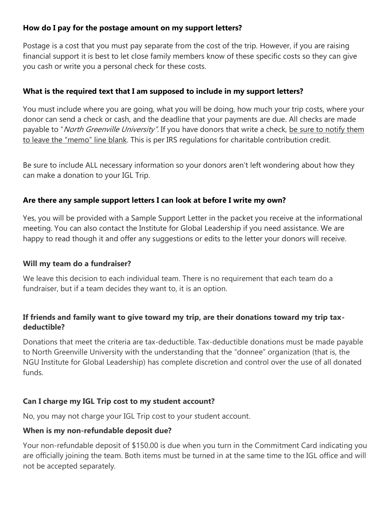## **How do I pay for the postage amount on my support letters?**

Postage is a cost that you must pay separate from the cost of the trip. However, if you are raising financial support it is best to let close family members know of these specific costs so they can give you cash or write you a personal check for these costs.

### **What is the required text that I am supposed to include in my support letters?**

You must include where you are going, what you will be doing, how much your trip costs, where your donor can send a check or cash, and the deadline that your payments are due. All checks are made payable to "North Greenville University". If you have donors that write a check, be sure to notify them to leave the "memo" line blank. This is per IRS regulations for charitable contribution credit.

Be sure to include ALL necessary information so your donors aren't left wondering about how they can make a donation to your IGL Trip.

### **Are there any sample support letters I can look at before I write my own?**

Yes, you will be provided with a Sample Support Letter in the packet you receive at the informational meeting. You can also contact the Institute for Global Leadership if you need assistance. We are happy to read though it and offer any suggestions or edits to the letter your donors will receive.

### **Will my team do a fundraiser?**

We leave this decision to each individual team. There is no requirement that each team do a fundraiser, but if a team decides they want to, it is an option.

### **If friends and family want to give toward my trip, are their donations toward my trip taxdeductible?**

Donations that meet the criteria are tax-deductible. Tax-deductible donations must be made payable to North Greenville University with the understanding that the "donnee" organization (that is, the NGU Institute for Global Leadership) has complete discretion and control over the use of all donated funds.

### **Can I charge my IGL Trip cost to my student account?**

No, you may not charge your IGL Trip cost to your student account.

### **When is my non-refundable deposit due?**

Your non-refundable deposit of \$150.00 is due when you turn in the Commitment Card indicating you are officially joining the team. Both items must be turned in at the same time to the IGL office and will not be accepted separately.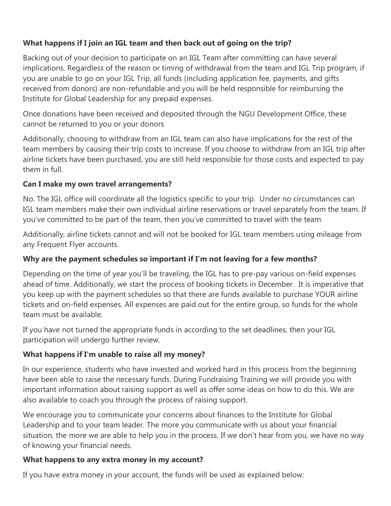## **What happens if I join an IGL team and then back out of going on the trip?**

Backing out of your decision to participate on an IGL Team after committing can have several implications. Regardless of the reason or timing of withdrawal from the team and IGL Trip program, if you are unable to go on your IGL Trip, all funds (including application fee, payments, and gifts received from donors) are non-refundable and you will be held responsible for reimbursing the Institute for Global Leadership for any prepaid expenses.

Once donations have been received and deposited through the NGU Development Office, these cannot be returned to you or your donors

Additionally, choosing to withdraw from an IGL team can also have implications for the rest of the team members by causing their trip costs to increase. If you choose to withdraw from an IGL trip after airline tickets have been purchased, you are still held responsible for those costs and expected to pay them in full.

## **Can I make my own travel arrangements?**

No. The IGL office will coordinate all the logistics specific to your trip. Under no circumstances can IGL team members make their own individual airline reservations or travel separately from the team. If you've committed to be part of the team, then you've committed to travel with the team.

Additionally, airline tickets cannot and will not be booked for IGL team members using mileage from any Frequent Flyer accounts.

# **Why are the payment schedules so important if I'm not leaving for a few months?**

Depending on the time of year you'll be traveling, the IGL has to pre-pay various on-field expenses ahead of time. Additionally, we start the process of booking tickets in December. It is imperative that you keep up with the payment schedules so that there are funds available to purchase YOUR airline tickets and on-field expenses. All expenses are paid out for the entire group, so funds for the whole team must be available.

If you have not turned the appropriate funds in according to the set deadlines, then your IGL participation will undergo further review.

# **What happens if I'm unable to raise all my money?**

In our experience, students who have invested and worked hard in this process from the beginning have been able to raise the necessary funds. During Fundraising Training we will provide you with important information about raising support as well as offer some ideas on how to do this. We are also available to coach you through the process of raising support.

We encourage you to communicate your concerns about finances to the Institute for Global Leadership and to your team leader. The more you communicate with us about your financial situation, the more we are able to help you in the process. If we don't hear from you, we have no way of knowing your financial needs.

## **What happens to any extra money in my account?**

If you have extra money in your account, the funds will be used as explained below: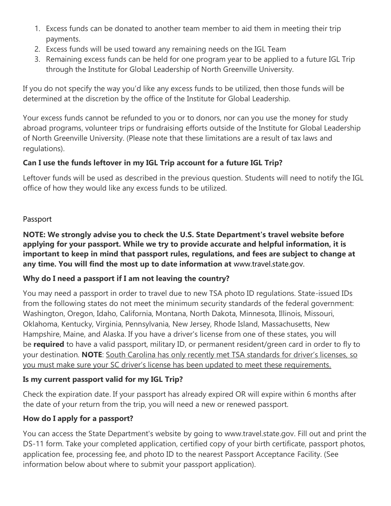- 1. Excess funds can be donated to another team member to aid them in meeting their trip payments.
- 2. Excess funds will be used toward any remaining needs on the IGL Team
- 3. Remaining excess funds can be held for one program year to be applied to a future IGL Trip through the Institute for Global Leadership of North Greenville University.

If you do not specify the way you'd like any excess funds to be utilized, then those funds will be determined at the discretion by the office of the Institute for Global Leadership.

Your excess funds cannot be refunded to you or to donors, nor can you use the money for study abroad programs, volunteer trips or fundraising efforts outside of the Institute for Global Leadership of North Greenville University. (Please note that these limitations are a result of tax laws and regulations).

# **Can I use the funds leftover in my IGL Trip account for a future IGL Trip?**

Leftover funds will be used as described in the previous question. Students will need to notify the IGL office of how they would like any excess funds to be utilized.

# Passport

**NOTE: We strongly advise you to check the U.S. State Department's travel website before applying for your passport. While we try to provide accurate and helpful information, it is important to keep in mind that passport rules, regulations, and fees are subject to change at any time. You will find the most up to date information at** www.travel.state.gov.

# **Why do I need a passport if I am not leaving the country?**

You may need a passport in order to travel due to new TSA photo ID regulations. State-issued IDs from the following states do not meet the minimum security standards of the federal government: Washington, Oregon, Idaho, California, Montana, North Dakota, Minnesota, Illinois, Missouri, Oklahoma, Kentucky, Virginia, Pennsylvania, New Jersey, Rhode Island, Massachusetts, New Hampshire, Maine, and Alaska. If you have a driver's license from one of these states, you will be **required** to have a valid passport, military ID, or permanent resident/green card in order to fly to your destination. **NOTE**: South Carolina has only recently met TSA standards for driver's licenses, so you must make sure your SC driver's license has been updated to meet these requirements.

# **Is my current passport valid for my IGL Trip?**

Check the expiration date. If your passport has already expired OR will expire within 6 months after the date of your return from the trip, you will need a new or renewed passport.

# **How do I apply for a passport?**

You can access the State Department's website by going to www.travel.state.gov. Fill out and print the DS-11 form. Take your completed application, certified copy of your birth certificate, passport photos, application fee, processing fee, and photo ID to the nearest Passport Acceptance Facility. (See information below about where to submit your passport application).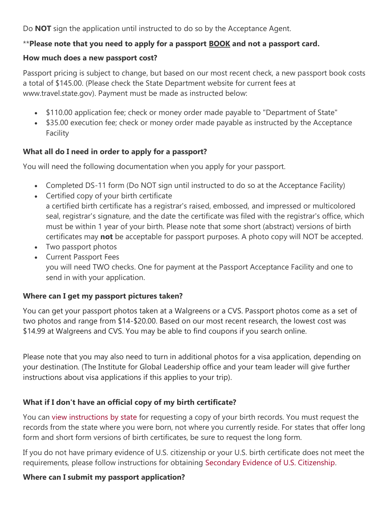Do **NOT** sign the application until instructed to do so by the Acceptance Agent.

### \*\***Please note that you need to apply for a passport BOOK and not a passport card.**

#### **How much does a new passport cost?**

Passport pricing is subject to change, but based on our most recent check, a new passport book costs a total of \$145.00. (Please check the State Department website for current fees at www.travel.state.gov). Payment must be made as instructed below:

- \$110.00 application fee; check or money order made payable to "Department of State"
- \$35.00 execution fee; check or money order made payable as instructed by the Acceptance Facility

### **What all do I need in order to apply for a passport?**

You will need the following documentation when you apply for your passport.

- Completed DS-11 form (Do NOT sign until instructed to do so at the Acceptance Facility)
- Certified copy of your birth certificate a certified birth certificate has a registrar's raised, embossed, and impressed or multicolored seal, registrar's signature, and the date the certificate was filed with the registrar's office, which must be within 1 year of your birth. Please note that some short (abstract) versions of birth certificates may **not** be acceptable for passport purposes. A photo copy will NOT be accepted.
- Two passport photos
- Current Passport Fees you will need TWO checks. One for payment at the Passport Acceptance Facility and one to send in with your application.

### **Where can I get my passport pictures taken?**

You can get your passport photos taken at a Walgreens or a CVS. Passport photos come as a set of two photos and range from \$14-\$20.00. Based on our most recent research, the lowest cost was \$14.99 at Walgreens and CVS. You may be able to find coupons if you search online.

Please note that you may also need to turn in additional photos for a visa application, depending on your destination. (The Institute for Global Leadership office and your team leader will give further instructions about visa applications if this applies to your trip).

## **What if I don't have an official copy of my birth certificate?**

You can [view instructions by state](http://www.cdc.gov/nchs/w2w.htm) for requesting a copy of your birth records. You must request the records from the state where you were born, not where you currently reside. For states that offer long form and short form versions of birth certificates, be sure to request the long form.

If you do not have primary evidence of U.S. citizenship or your U.S. birth certificate does not meet the requirements, please follow instructions for obtaining [Secondary Evidence of U.S. Citizenship.](http://travel.state.gov/passport/get/secondary_evidence/secondary_evidence_4315.html)

### **Where can I submit my passport application?**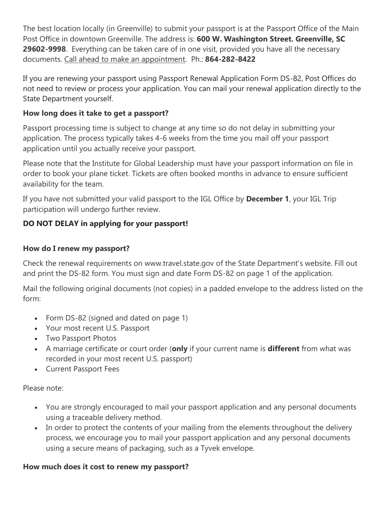The best location locally (in Greenville) to submit your passport is at the Passport Office of the Main Post Office in downtown Greenville. The address is: **600 W. Washington Street. Greenville, SC 29602-9998**. Everything can be taken care of in one visit, provided you have all the necessary documents. Call ahead to make an appointment. Ph.: **864-282-8422**

If you are renewing your passport using Passport Renewal Application Form DS-82, Post Offices do not need to review or process your application. You can mail your renewal application directly to the State Department yourself.

## **How long does it take to get a passport?**

Passport processing time is subject to change at any time so do not delay in submitting your application. The process typically takes 4-6 weeks from the time you mail off your passport application until you actually receive your passport.

Please note that the Institute for Global Leadership must have your passport information on file in order to book your plane ticket. Tickets are often booked months in advance to ensure sufficient availability for the team.

If you have not submitted your valid passport to the IGL Office by **December 1**, your IGL Trip participation will undergo further review.

## **DO NOT DELAY in applying for your passport!**

### **How do I renew my passport?**

Check the renewal requirements on www.travel.state.gov of the State Department's website. Fill out and print the DS-82 form. You must sign and date Form DS-82 on page 1 of the application.

Mail the following original documents (not copies) in a padded envelope to the address listed on the form:

- Form DS-82 (signed and dated on page 1)
- Your most recent U.S. Passport
- Two Passport Photos
- A marriage certificate or court order (**only** if your current name is **different** from what was recorded in your most recent U.S. passport)
- Current Passport Fees

Please note:

- You are strongly encouraged to mail your passport application and any personal documents using a traceable delivery method.
- In order to protect the contents of your mailing from the elements throughout the delivery process, we encourage you to mail your passport application and any personal documents using a secure means of packaging, such as a Tyvek envelope.

### **How much does it cost to renew my passport?**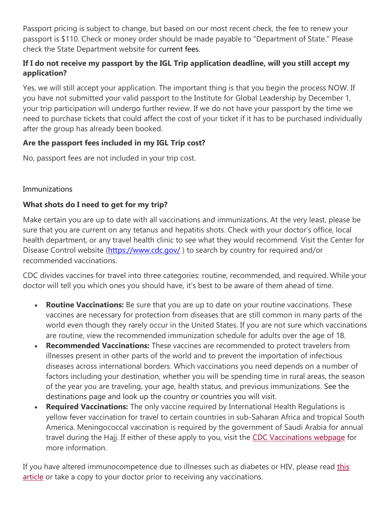Passport pricing is subject to change, but based on our most recent check, the fee to renew your passport is \$110. Check or money order should be made payable to "Department of State." Please check the State Department website for current fees.

## **If I do not receive my passport by the IGL Trip application deadline, will you still accept my application?**

Yes, we will still accept your application. The important thing is that you begin the process NOW. If you have not submitted your valid passport to the Institute for Global Leadership by December 1, your trip participation will undergo further review. If we do not have your passport by the time we need to purchase tickets that could affect the cost of your ticket if it has to be purchased individually after the group has already been booked.

## **Are the passport fees included in my IGL Trip cost?**

No, passport fees are not included in your trip cost.

### Immunizations

## **What shots do I need to get for my trip?**

Make certain you are up to date with all vaccinations and immunizations. At the very least, please be sure that you are current on any tetanus and hepatitis shots. Check with your doctor's office, local health department, or any travel health clinic to see what they would recommend. Visit the Center for Disease Control website [\(https://www.cdc.gov/](https://www.cdc.gov/) ) to search by country for required and/or recommended vaccinations.

CDC divides vaccines for travel into three categories: routine, recommended, and required. While your doctor will tell you which ones you should have, it's best to be aware of them ahead of time.

- **Routine Vaccinations:** Be sure that you are up to date on your routine vaccinations. These vaccines are necessary for protection from diseases that are still common in many parts of the world even though they rarely occur in the United States. If you are not sure which vaccinations are routine, view the recommended immunization schedule for adults over the age of 18.
- **Recommended Vaccinations:** These vaccines are recommended to protect travelers from illnesses present in other parts of the world and to prevent the importation of infectious diseases across international borders. Which vaccinations you need depends on a number of factors including your destination, whether you will be spending time in rural areas, the season of the year you are traveling, your age, health status, and previous immunizations. See the destinations page and look up the country or countries you will visit.
- **Required Vaccinations:** The only vaccine required by International Health Regulations is yellow fever vaccination for travel to certain countries in sub-Saharan Africa and tropical South America. Meningococcal vaccination is required by the government of Saudi Arabia for annual travel during the Hajj. If either of these apply to you, visit the [CDC Vaccinations webpage](http://wwwnc.cdc.gov/travel/content/vaccinations.aspx) for more information.

If you have altered immunocompetence due to illnesses such as diabetes or HIV, please read this [article](http://wwwnc.cdc.gov/travel/yellowbook/2010/chapter-8/immunocompromised-traveler.aspx) or take a copy to your doctor prior to receiving any vaccinations.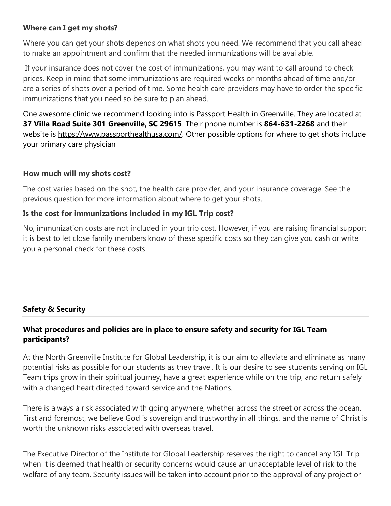### **Where can I get my shots?**

Where you can get your shots depends on what shots you need. We recommend that you call ahead to make an appointment and confirm that the needed immunizations will be available.

If your insurance does not cover the cost of immunizations, you may want to call around to check prices. Keep in mind that some immunizations are required weeks or months ahead of time and/or are a series of shots over a period of time. Some health care providers may have to order the specific immunizations that you need so be sure to plan ahead.

One awesome clinic we recommend looking into is Passport Health in Greenville. They are located at **37 Villa Road Suite 301 Greenville, SC 29615**. Their phone number is **864-631-2268** and their website is [https://www.passporthealthusa.com/.](https://www.passporthealthusa.com/) Other possible options for where to get shots include your primary care physician

### **How much will my shots cost?**

The cost varies based on the shot, the health care provider, and your insurance coverage. See the previous question for more information about where to get your shots.

#### **Is the cost for immunizations included in my IGL Trip cost?**

No, immunization costs are not included in your trip cost. However, if you are raising financial support it is best to let close family members know of these specific costs so they can give you cash or write you a personal check for these costs.

### **Safety & Security**

## **What procedures and policies are in place to ensure safety and security for IGL Team participants?**

At the North Greenville Institute for Global Leadership, it is our aim to alleviate and eliminate as many potential risks as possible for our students as they travel. It is our desire to see students serving on IGL Team trips grow in their spiritual journey, have a great experience while on the trip, and return safely with a changed heart directed toward service and the Nations.

There is always a risk associated with going anywhere, whether across the street or across the ocean. First and foremost, we believe God is sovereign and trustworthy in all things, and the name of Christ is worth the unknown risks associated with overseas travel.

The Executive Director of the Institute for Global Leadership reserves the right to cancel any IGL Trip when it is deemed that health or security concerns would cause an unacceptable level of risk to the welfare of any team. Security issues will be taken into account prior to the approval of any project or